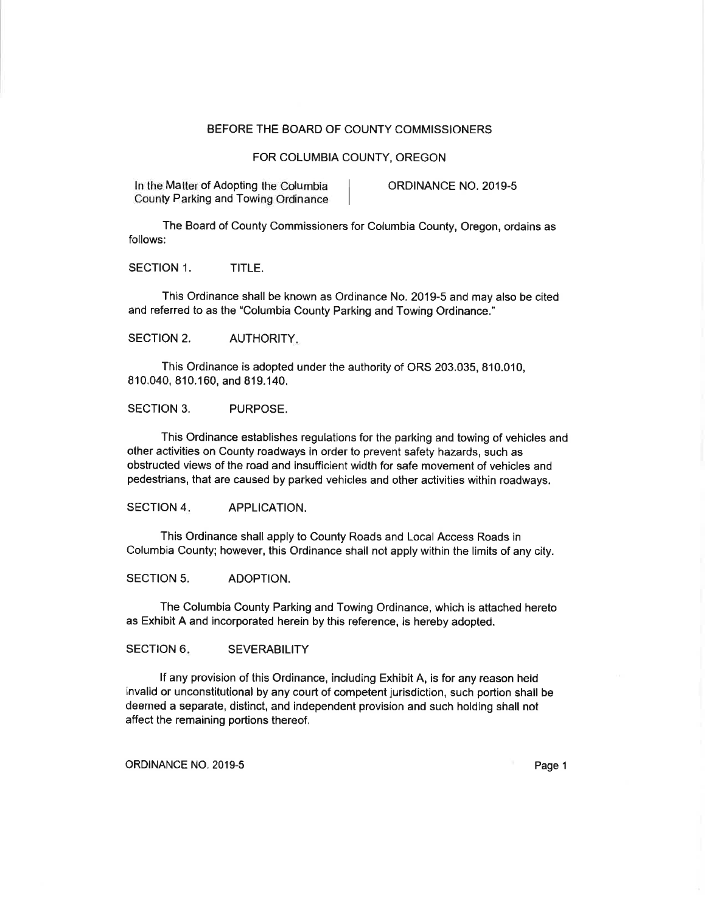### BEFORE THE BOARD OF COUNTY COMMISSIONERS

### FOR COLUMBIA COUNTY, OREGON

In the Matter of Adopting the Columbia | ORDINANCE NO. 2019-5 County Parking and Towing Ordinance <sup>i</sup>

The Board of County Commissioners for Columbia County, Oregon, ordains as follows:

SECTION 1. TITLE.

This Ordinance shall be known as Ordinance No. 2019-5 and may also be cited and referred to as the "Columbia County Parking and Towing Ordinance."

SECTION 2. AUTHORITY.

This Ordinance is adopted under the authority of ORS 203.035, 810.010, 810.040, 810.160, and 819.140.

SECTION 3. PURPOSE.

This Ordinance establishes regulations for the parking and towing of vehicles and other activities on County roadways in order to prevent safety hazards, such as obstructed views of the road and insufficient width for safe movement of vehicles and pedestrians, that are caused by parked vehicles and other activities within roadways.

SECTION 4. APPLICATION.

This Ordinance shall apply to County Roads and Local Access Roads in Columbia County; however, this Ordinance shall not apply within the limits of any city.

SECTION 5. ADOPTION.

The Columbia County Parking and Towing Ordinance, which is aftached hereto as Exhibit A and incorporated herein by this reference, is hereby adopted.

SECTION 6. SEVERABILITY

lf any provision of this Ordinance, including Exhibit A, is for any reason held invalid or unconstitutional by any court of competent jurisdiction, such portion shall be deemed a separate, distinct, and independent provision and such holding shall not affect the remaining portions thereof.

ORDINANCE NO. 2019-5 **Page 1**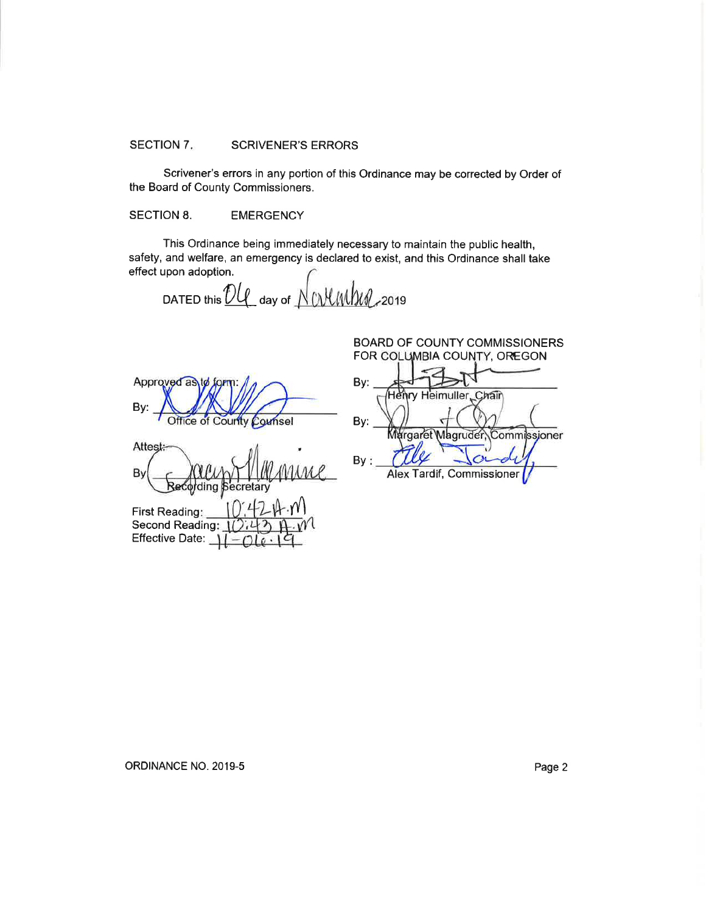# SECTION 7. SCRIVENER'S ERRORS

Scrivener's errors in any portion of this Ordinance may be corrected by Order of the Board of County Commissioners.

# SECTION 8. EMERGENCY

This Ordinance being immediately necessary to maintain the public health, safety, and welfare, an emergency is declared to exist, and this Ordinance shall take effect upon adoption,

DATED this  $\mathcal{U}\mathcal{U}$  day of  $\mathcal{N}\mathcal{U}\mathcal{U}\mathcal{U}$  ( $\mathcal{U}\mathcal{U}$  2019

Approved as to By: Office of County Counsel

Attest: By ding

First Reading Second Reading: Effective Date:  $\underline{\gamma}$ 

| <b>BOARD OF COUNTY COMMISSIONERS</b> |
|--------------------------------------|
| FOR COLUMBIA COUNTY, OREGON          |
| Bγ:                                  |
| lehry Heimuller, Chair               |
| Bv:                                  |
| Margaret Magruder, Commissioner      |
| Bν                                   |
| Alex Tardif, Commissioner            |

# ORDINANCE NO. 2019-5 **Page 2**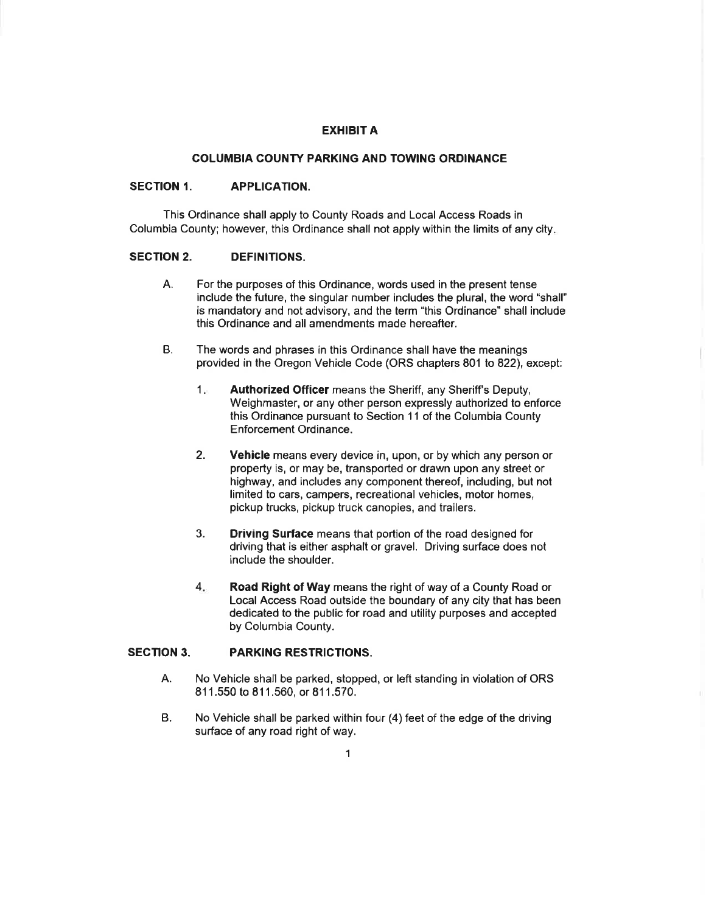# EXHIBIT A

### COLUMBIA COUNTY PARKING AND TOWING ORDINANCE

#### SECTION 1. APPLICATION.

This Ordinance shall apply to County Roads and Local Access Roads in Columbia County; however, this Ordinance shall not apply within the limits of any city

### SECTION 2. DEFINITIONS

- A. For the purposes of this Ordinance, words used in the present tense include the future, the singular number includes the plural, the word "shall" is mandatory and not advisory, and the term "this Ordinance' shall include this Ordinance and all amendments made hereafter.
- B. The words and phrases in this Ordinance shall have the meanings provided in the Oregon Vehicle Code (ORS chapters 801 to 822), except:
	- 1. **Authorized Officer** means the Sheriff, any Sheriff's Deputy, Weighmaster, or any other person expressly authorized to enforce this Ordinance pursuant to Section 11 of the Columbia County Enforcement Ordinance.
	- Vehicle means every device in, upon, or by which any person or property is, or may be, transported or drawn upon any street or highway, and includes any component thereof, including, but not limited to cars, campers, recreational vehicles, motor homes, pickup trucks, pickup truck canopies, and trailers. 2.
	- Driving Surface means that portion of the road designed for driving that is either asphalt or gravel. Driving surface does not include the shoulder. 3.
	- Road Right of Way means the right of way of a County Road or Local Access Road outside the boundary of any city that has been dedicated to the public for road and utility purposes and accepted by Columbia County. 4

### SECTION 3. PARKING RESTRICTIONS.

- No Vehicle shall be parked, stopped, or left standing in violation of ORS B1 1.550 to 811.560, or 811.570. A.
- No Vehicle shall be parked within four (4) feet of the edge of the driving surface of any road right of way. B.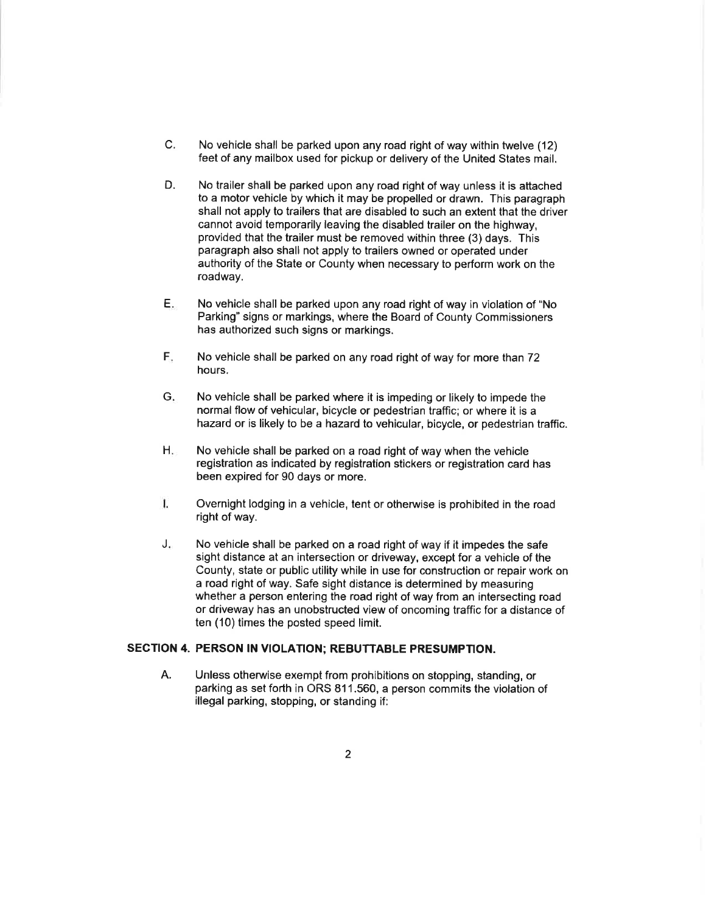- No vehicle shall be parked upon any road right of way within twelve (12) feet of any mailbox used for pickup or delivery of the United States mail. c.
- No trailer shall be parked upon any road right of way unless it is aftached to a motor vehicle by which it may be propelled or drawn. This paragraph shall not apply to trailers that are disabled to such an extent that the driver cannot avoid temporarily leaving the disabled trailer on the highway, provided that the trailer must be removed within three {3) days. This paragraph also shall not apply to trailers owned or operated under authority of the State or County when necessary to perform work on the roadway. D.
- No vehicle shall be parked upon any road right of way in violation of "No Parking" signs or markings, where the Board of County Commissioners has authorized such signs or markings. E
- No vehicle shall be parked on any road right of way for more than 72 hours. F.
- No vehicle shall be parked where it is impeding or likely to impede the normal flow of vehicular, bicycle or pedestrian traffic; or where it is a hazard or is likely to be a hazard to vehicular, bicycle, or pedestrian traffic. G.
- No vehicle shall be parked on a road right of way when the vehicle registration as indicated by registration stickers or registration card has been expired for 90 days or more.  $H_{\star}$
- $\mathbf{L}$ Overnight lodging in a vehicle, tent or otherwise is prohibited in the road right of way.
- No vehicle shall be parked on a road right of way if it impedes the safe sight distance at an intersection or driveway, except for a vehicle of the County, state or public utility while in use for construction or repair work on a road right of way. Safe sight distance is determined by measuring whether a person entering the road right of way from an intersecting road or driveway has an unobstructed view of oncoming traffic for a dislance of ten (10) times the posted speed limit.  $\mathbf{J}_m$

### SECTION 4. PERSON IN VIOLATION; REBUTTABLE PRESUMPTION.

Unless otherwise exempt from prohibitions on stopping, standing, or parking as set forth in ORS 811.560, a person commits the violation of illegal parking, stopping, or standing if: A.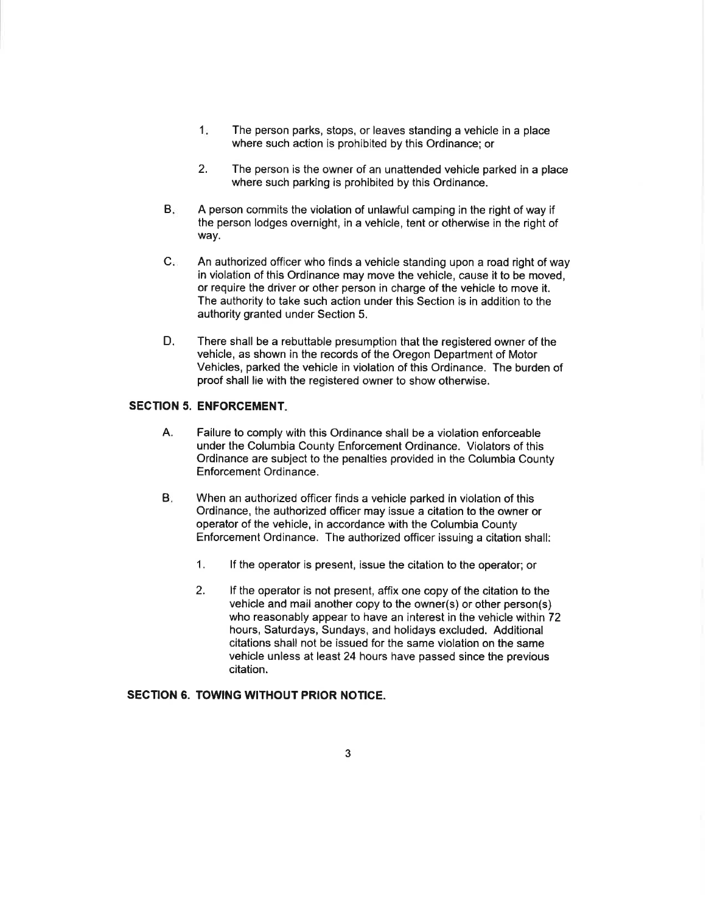- The person parks, stops, or leaves standing a vehicle in a place where such action is prohibited by this Ordinance; or  $1.$
- 2. The person is the owner of an unattended vehicle parked in a place where such parking is prohibited by this Ordinance.
- A person commits the violation of unlawful camping in the right of way if the person lodges overnight, in a vehicle, tent or otherwise in the right of way.  $B_{\rm B}$
- An authorized officer who finds a vehicle standing upon a road right of way in violation of this Ordinance may move the vehicle, cause it to be moved, or require the driver or other person in charge of the vehicle to move it. The authority to take such action under this Section is in addition to the authority granted under Section 5.  $C_{\text{eff}}$
- There shall be a rebuttable presumption that the registered owner of the vehicle, as shown in the records of the Oregon Department of Motor Vehicles, parked the vehicle in violation of this Ordinance. The burden of proof shall lie with the registered owner to show otherwise. D.

# SECTION 5. ENFORCEMENT.

- Failure to comply with this Ordinance shall be a violation enforceable under the Columbia County Enforcement Ordinance. Violators of this Ordinance are subject to the penalties provided in the Columbia County Enforcement Ordinance. A.
- When an authorized officer finds a vehicle parked in violation of this Ordinance, the authorized officer may issue a citation to the owner or operator of the vehicle, in accordance with the Columbia County Enforcement Ordinance. The authorized officer issuing a citation shall:  $B.$ 
	- 1. lf the operator is present, issue the citation to the operator; or
	- lf the operator is not present, affix one copy of the citation to the vehicle and mail another copy to the owner(s) or other person(s) who reasonably appear to have an interest in the vehicle within 72 hours, Saturdays, Sundays, and holidays excluded. Additional citations shall not be issued for the same violation on the same vehicle unless at least 24 hours have passed since the previous citation. 2.

## SECTION 6. TOWING WITHOUT PRIOR NOTICE.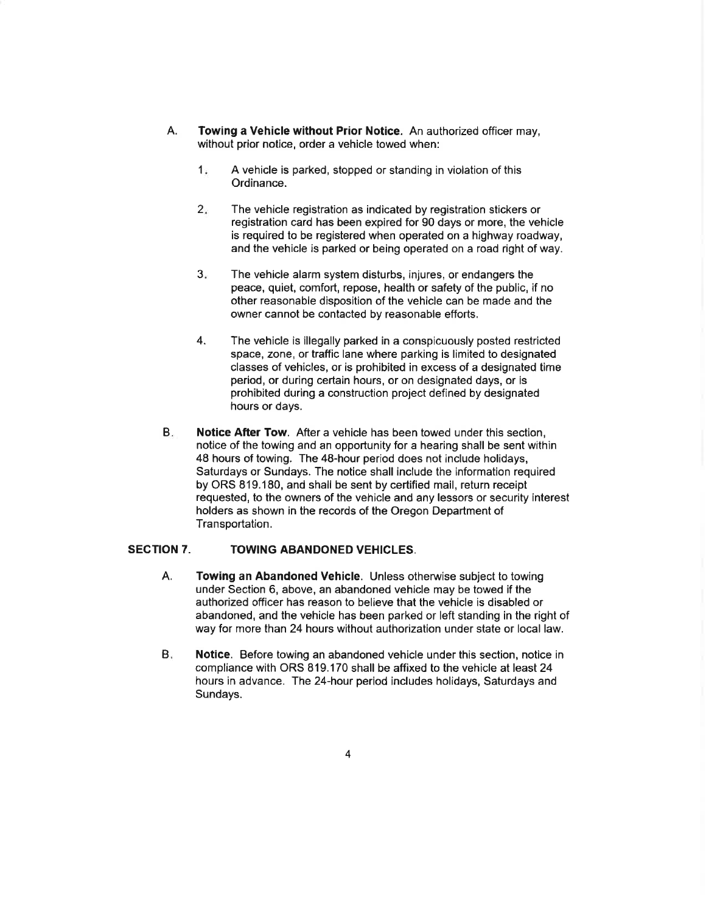- A. Towing a Vehicle without Prior Notice. An authorized officer may, without prior notice, order a vehicle towed when:
	- $1.4$  A vehicle is parked, stopped or standing in violation of this Ordinance.
	- The vehicle registration as indicated by registration stickers or registration card has been expired for 90 days or more, the vehicle is required to be registered when operated on a highway roadway, and the vehicle is parked or being operated on a road right of way.  $2.$
	- The vehicle alarm system disturbs, injures, or endangers the peace, quiet, comfort, repose, health or safety of the public, if no other reasonable disposition of the vehicle can be made and the owner cannot be contacted by reasonable efforts. 3.
	- The vehicle is illegally parked in a conspicuously posted restricted space, zone, or traffic lane where parking is limited to designated classes of vehicles, or is prohibited in excess of a designated time period, or during certain hours, or on designated days, or is prohibited during a construction project defined by designated hours or days. 4.
- Notice After Tow. After a vehicle has been towed under this section, notice of the towing and an opportunity for a hearing shall be sent within 48 hours of towing. The 48-hour period does not include holidays, Saturdays or Sundays. The notice shall include the information required by ORS 819.180, and shall be sent by certified mail, return receipt requested, to the owners of the vehicle and any lessors or security interest holders as shown in the records of the Oregon Department of Transportation. B.

# SECTION 7. TOWING ABANDONED VEHICLES.

- Towing an Abandoned Vehicle. Unless otherwise subject to towing under Section 6, above, an abandoned vehicle may be towed if the authorized officer has reason to believe that the vehicle is disabled or abandoned, and the vehicle has been parked or left standing in the right of way for more than 24 hours without authorization under state or local law. A.
- Notice. Before towing an abandoned vehicle under this section, notice in compliance with ORS 819.170 shall be affixed to the vehicle at least 24 hours in advance. The 24-hour period includes holidays, Saturdays and Sundays.  $B<sub>x</sub>$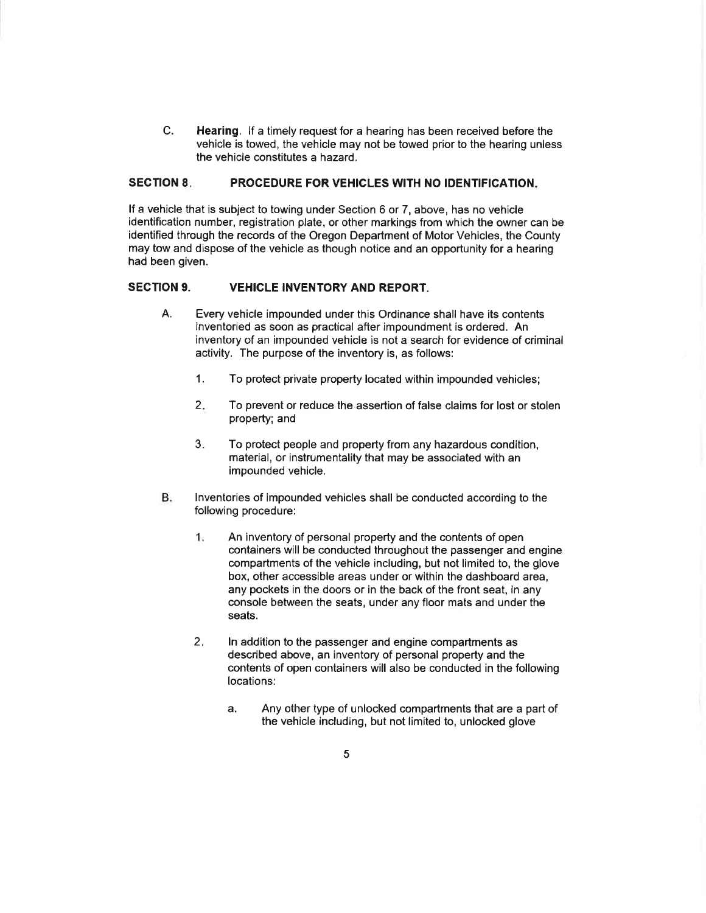Hearing. lf a timely request for a hearing has been received before the vehicle is towed, the vehicle may not be towed prior to the hearing unless the vehicle constitutes a hazard. C.

### SECTION 8. PROCEDURE FOR VEHICLES WITH NO IDENTIFICATION.

lf a vehicle that is subject to towing under Section 6 or 7, above, has no vehicle identification number, registration plate, or other markings from which the owner can be identified through the records of the Oregon Department of Motor Vehicles, the County may tow and dispose of the vehicle as though notice and an opportunity for a hearing had been given.

### SECTION 9. VEHICLE INVENTORY AND REPORT.

- A. Every vehicle impounded under this Ordinance shall have its contents inventoried as soon as practical after impoundment is ordered. An inventory of an impounded vehicle is not a search for evidence of criminal activity. The purpose of the inventory is, as follows:
	- 1. To protect private property located within impounded vehicles;
	- 2. To prevent or reduce the assertion of false claims for lost or stolen property; and
	- To protect people and property from any hazardous condition, material, or instrumentality that may be associated with an impounded vehicle. 3.
- **B.** lnventories of impounded vehicles shall be conducted according to the following procedure:
	- 1. An inventory of personal property and the contents of open containers will be conducted throughout the passenger and engine compartments of the vehicle including, but not limited to, the glove box, other accessible areas under or within the dashboard area, any pockets in the doors or in the back of the front seat, in any console between the seats, under any floor mats and under the seats.
	- ln addition to the passenger and engine compartments as described above, an inventory of personal property and the contents of open containers will also be conducted in the following locations:  $2.$ 
		- a, Any other type of unlocked compartments that are a part of the vehicle including, but not limited to, unlocked glove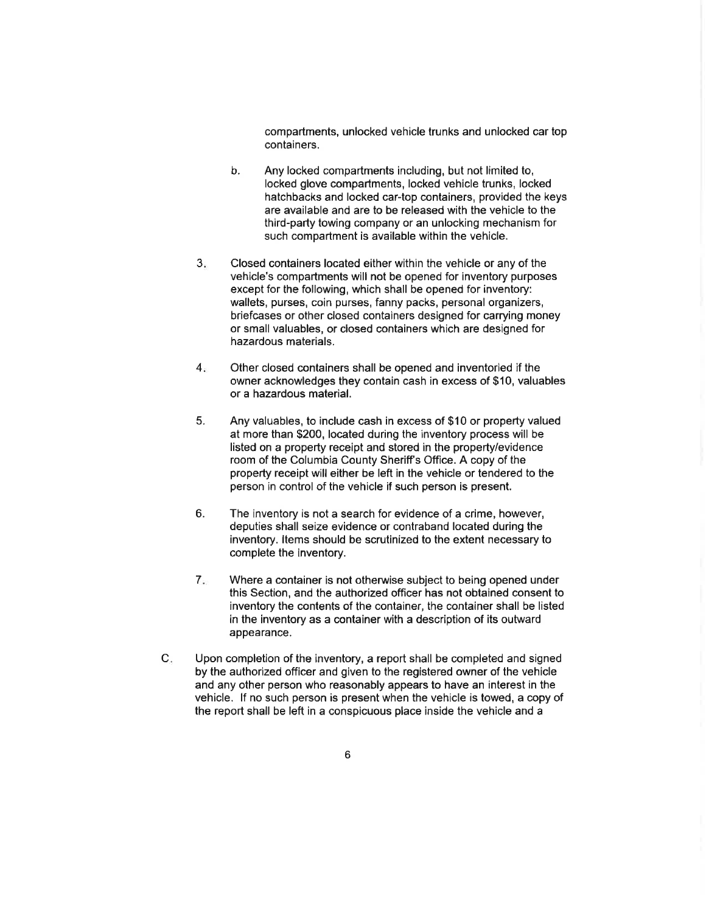compartments, unlocked vehicle trunks and unlocked car top containers.

- b. Any locked compartments including, but not limited to, locked glove compartments, locked vehicle trunks, locked hatchbacks and locked car-top containers, provided the keys are available and are to be released with the vehicle to the third-party towing company or an unlocking mechanism for such compartment is available within the vehicle.
- $3<sub>1</sub>$ Closed containers located either within the vehicle or any of the vehicle's compartments will not be opened for inventory purposes except for the following, which shall be opened for inventory: wallets, purses, coin purses, fanny packs, personal organizers, briefcases or other closed containers designed for carrying money or small valuables, or closed containers which are designed for hazardous materials.
- $4<sub>i</sub>$ Other closed containers shall be opened and inventoried if the owner acknowledges they contain cash in excess of \$10, valuables or a hazardous material.
- 5. Any valuables, to include cash in excess of \$10 or property valued at more than \$200, located during the inventory process will be listed on a property receipt and stored in the property/evidence room of the Columbia County Sheriff's Office. A copy of the property receipt will either be left in the vehicle or tendered to the person in control of the vehicle if such person is present.
- 6. The inventory is not a search for evidence of a crime, however, deputies shall seize evidence or contraband located during the inventory. ltems should be scrutinized to the extent necessary to complete the inventory.
- $7<sub>z</sub>$ Where a container is not otherwise subject to being opened under this Section, and the authorized officer has not obtained consent to inventory the contents of the container, the container shatl be listed in the inventory as a container with a description of its outward appearance.
- Upon completion of the inventory, a report shall be completed and signed by the authorized officer and given to the registered owner of the vehiole and any other person who reasonably appears to have an interest in the vehicle. lf no such person is present when the vehicle is towed, a copy of the report shall be left in a conspicuous place inside the vehicle and a c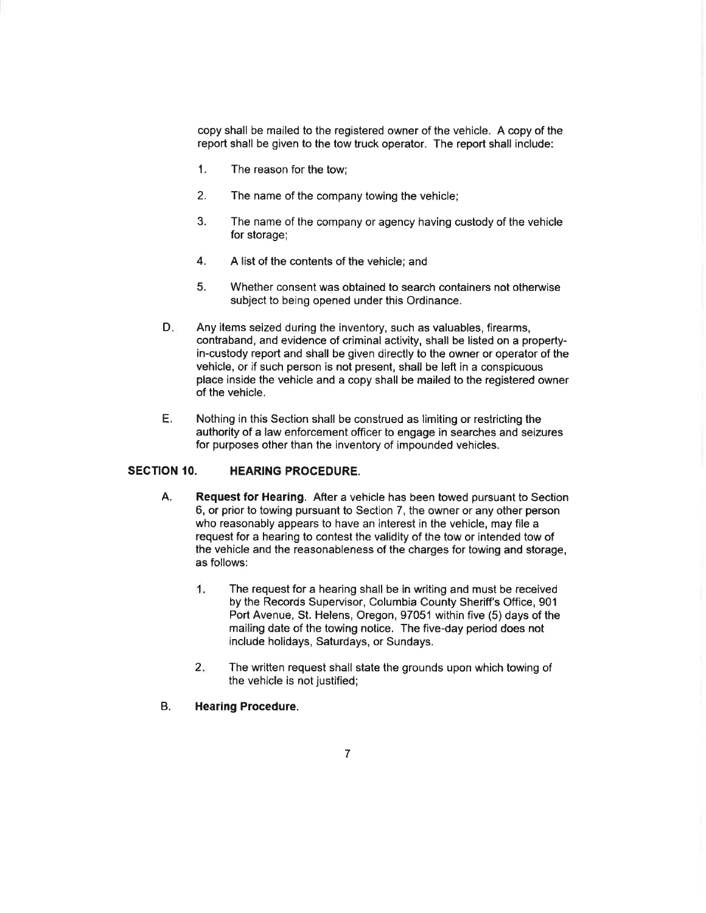copy shall be mailed to the registered owner of the vehicle. A copy of the report shall be given to the tow truck operator. The report shall include:

- The reason for the tow; 1.
- The name of the company towing the vehicle; 2.
- The name of the company or agency having custody of the vehicle for storage: 3.
- A list of the contents of the vehicle; and 4.
- Whether consent was obtained to search containers not otherwise subject to being opened under this Ordinance. 5.
- Any items seized during the inventory, such as valuables, firearms, contraband, and evidence of criminal activity, shall be listed on a propertyin-custody report and shall be given directly to the owner or operator of the vehicle, or if such person is not present, shall be left in a conspicuous place inside the vehicle and a copy shall be mailed to the registered owner of the vehicle.  $D_{\rm{m}}$
- Nothing in this Section shall be construed as limiting or restricting the authority of a law enforcement officer to engage in searches and seizures for purposes other than the inventory of impounded vehicles. E.

# SECTION 10. HEARING PROCEDURE.

- A. Request for Hearing. After a vehicle has been towed pursuant to Section 6, or prior to towing pursuant to Section 7, the owner or any other person who reasonably appears to have an interest in the vehicle, may file a request for a hearing to contest the validity of the tow or intended tow of the vehicle and the reasonableness of the charges for towing and storage, as follows:
	- 1. The request for a hearing shall be in writing and must be received by the Records Supervisor, Columbia County Sheriff's Office, 901 Port Avenue, St. Helens, Oregon, 97051 within five (5) days of the mailing date of the towing notice. The five-day period does not include holidays, Saturdays, or Sundays.
	- 2. The written request shall state the grounds upon which towing of the vehicle is not justified;

### B. Hearing Procedure.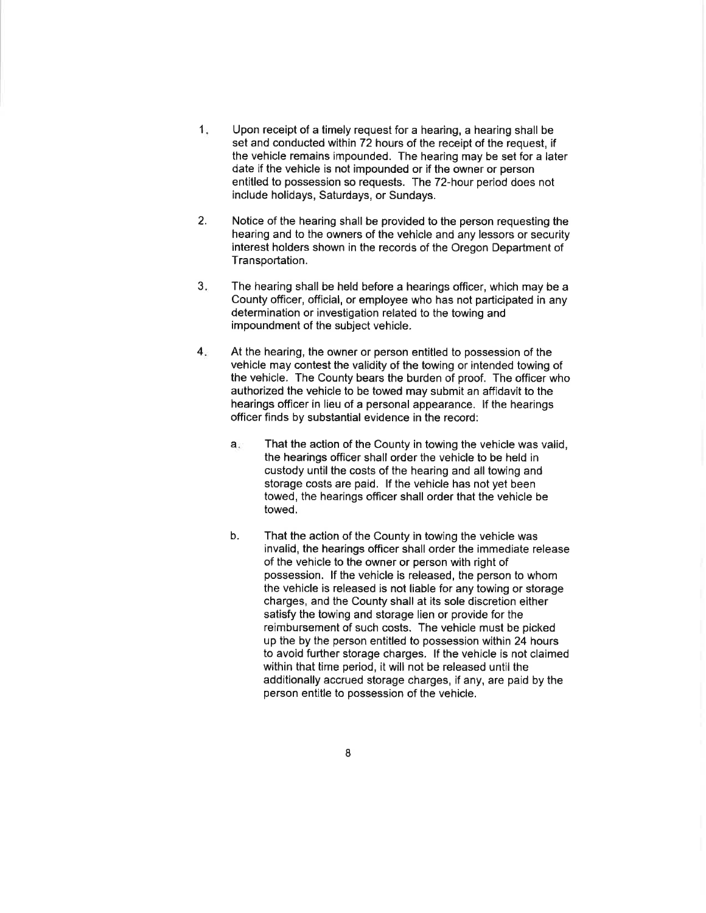- 1 Upon receipt of a timely request for a hearing, a hearing shall be set and conducted within 72 hours of the receipt of the request, if the vehicle remains impounded. The hearing may be set for a later date if the vehicle is not impounded or if the owner or person entitled to possession so requests. The 72-hour period does not include holidays, Saturdays, or Sundays.
- 2. Notice of the hearing shall be provided to the person requesting the hearing and to the owners of the vehicle and any lessors or security interest holders shown in the records of the Oregon Department of Transportation.
- 3. The hearing shall be held before a hearings officer, which may be a County officer, official, or employee who has not participated in any determination or investigation related to the towing and impoundment of the subject vehicle.
- 4. At the hearing, the owner or person entitled to possession of the vehicle may contest the validity of the towing or intended towing of the vehicle. The County bears the burden of proof. The officer who authorized the vehicle to be towed may submit an affidavit to the hearings officer in lieu of a personal appearance. lf the hearings officer finds by substantial evidence in the record:
	- a. That the action of the County in towing the vehicle was valid, the hearings oflicer shall order the vehicle to be held in custody until the costs of the hearing and all towing and storage costs are paid. lf the vehicle has not yet been towed, the hearings officer shall order that the vehicle be towed.
	- That the action of the County in towing the vehicle was invalid, the hearings officer shall order the immediate release of the vehicle to the owner or person with right of possession. lf the vehicle is released, the person to whom the vehicle is released is not liable for any towing or storage charges, and the County shall at its sole discretion either satisfy the towing and storage lien or provide for the reimbursement of such costs. The vehicle must be picked up the by the person entitled to possession within 24 hours to avoid further storage charges. lf the vehicle is not claimed within that time period, it will not be released until the additionally accrued storage charges, if any, are paid by the person entitle to possession of the vehicle. b.